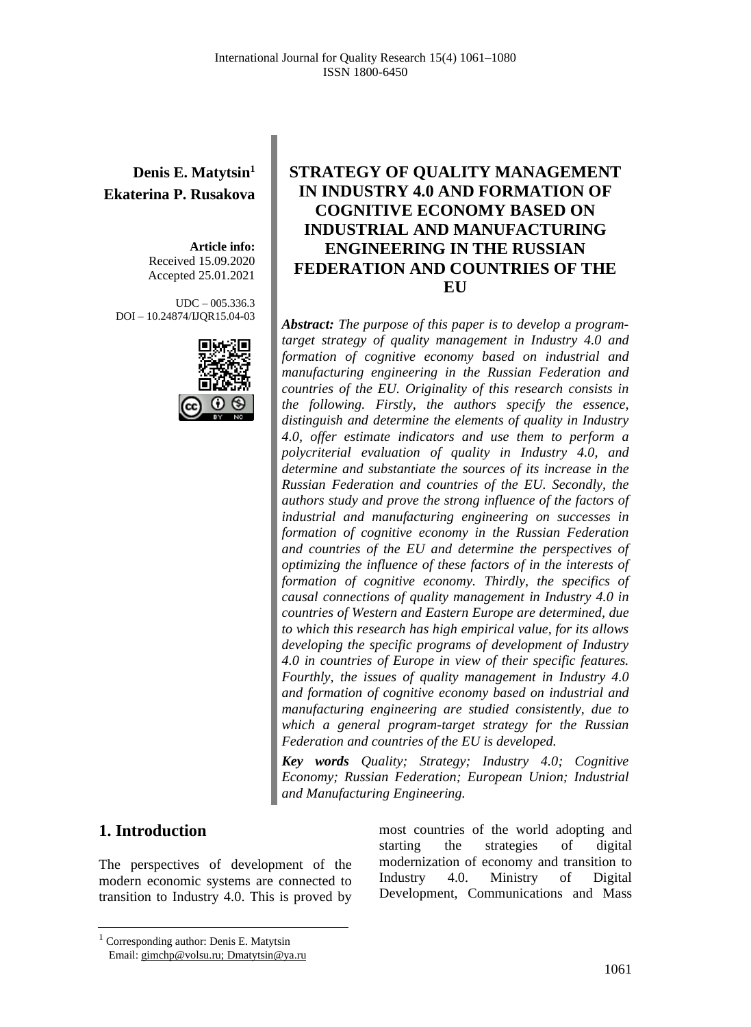# **Denis E. Matytsin<sup>1</sup> Ekaterina P. Rusakova**

**Article info:** Received 15.09.2020 Accepted 25.01.2021

UDC – 005.336.3 DOI – 10.24874/IJQR15.04-03



# **STRATEGY OF QUALITY MANAGEMENT IN INDUSTRY 4.0 AND FORMATION OF COGNITIVE ECONOMY BASED ON INDUSTRIAL AND MANUFACTURING ENGINEERING IN THE RUSSIAN FEDERATION AND COUNTRIES OF THE EU**

*Abstract: The purpose of this paper is to develop a programtarget strategy of quality management in Industry 4.0 and formation of cognitive economy based on industrial and manufacturing engineering in the Russian Federation and countries of the EU. Originality of this research consists in the following. Firstly, the authors specify the essence, distinguish and determine the elements of quality in Industry 4.0, offer estimate indicators and use them to perform a polycriterial evaluation of quality in Industry 4.0, and determine and substantiate the sources of its increase in the Russian Federation and countries of the EU. Secondly, the authors study and prove the strong influence of the factors of industrial and manufacturing engineering on successes in formation of cognitive economy in the Russian Federation and countries of the EU and determine the perspectives of optimizing the influence of these factors of in the interests of formation of cognitive economy. Thirdly, the specifics of causal connections of quality management in Industry 4.0 in countries of Western and Eastern Europe are determined, due to which this research has high empirical value, for its allows developing the specific programs of development of Industry 4.0 in countries of Europe in view of their specific features. Fourthly, the issues of quality management in Industry 4.0 and formation of cognitive economy based on industrial and manufacturing engineering are studied consistently, due to which a general program-target strategy for the Russian Federation and countries of the EU is developed.*

*Key words Quality; Strategy; Industry 4.0; Cognitive Economy; Russian Federation; European Union; Industrial and Manufacturing Engineering.*

### **1. Introduction**

The perspectives of development of the modern economic systems are connected to transition to Industry 4.0. This is proved by most countries of the world adopting and starting the strategies of digital modernization of economy and transition to Industry 4.0. Ministry of Digital Development, Communications and Mass

<sup>1</sup> Corresponding author: Denis E. Matytsin Email: gimchp@volsu.ru; [Dmatytsin@ya.ru](mailto:Dmatytsin@ya.ru)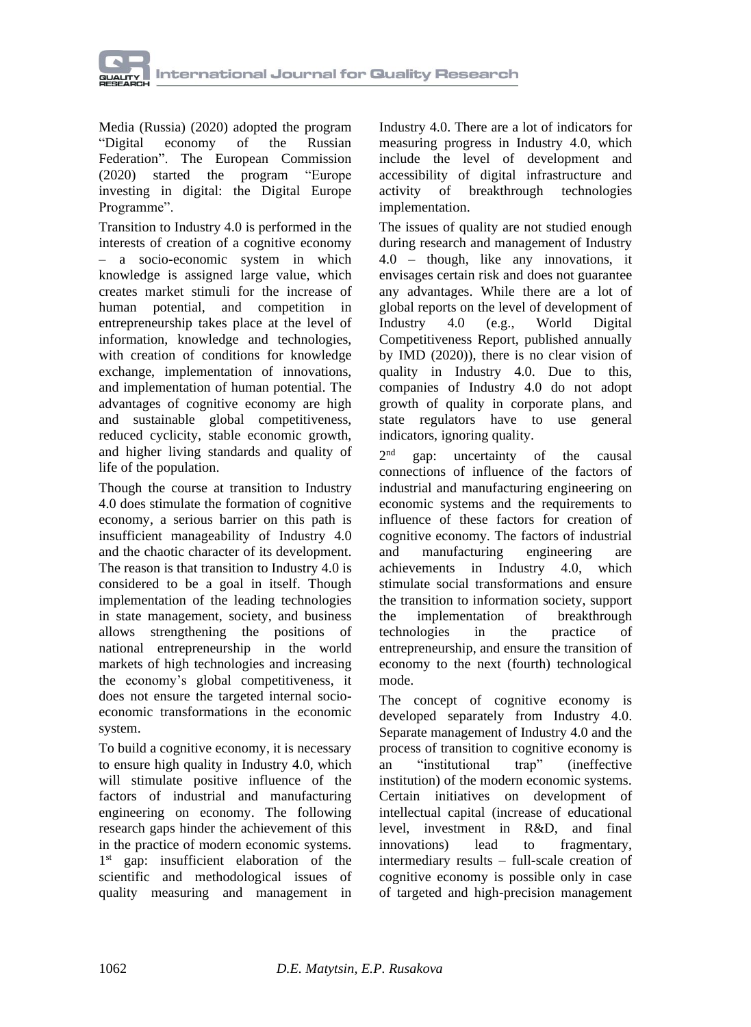

Media (Russia) (2020) adopted the program "Digital economy of the Russian Federation". The European [Commission](https://ec.europa.eu/info/index_en) (2020) started the program "Europe investing in digital: the Digital Europe Programme".

Transition to Industry 4.0 is performed in the interests of creation of a cognitive economy – a socio-economic system in which knowledge is assigned large value, which creates market stimuli for the increase of human potential, and competition in entrepreneurship takes place at the level of information, knowledge and technologies, with creation of conditions for knowledge exchange, implementation of innovations, and implementation of human potential. The advantages of cognitive economy are high and sustainable global competitiveness, reduced cyclicity, stable economic growth, and higher living standards and quality of life of the population.

Though the course at transition to Industry 4.0 does stimulate the formation of cognitive economy, a serious barrier on this path is insufficient manageability of Industry 4.0 and the chaotic character of its development. The reason is that transition to Industry 4.0 is considered to be a goal in itself. Though implementation of the leading technologies in state management, society, and business allows strengthening the positions of national entrepreneurship in the world markets of high technologies and increasing the economy's global competitiveness, it does not ensure the targeted internal socioeconomic transformations in the economic system.

To build a cognitive economy, it is necessary to ensure high quality in Industry 4.0, which will stimulate positive influence of the factors of industrial and manufacturing engineering on economy. The following research gaps hinder the achievement of this in the practice of modern economic systems. 1<sup>st</sup> gap: insufficient elaboration of the scientific and methodological issues of quality measuring and management in

Industry 4.0. There are a lot of indicators for measuring progress in Industry 4.0, which include the level of development and accessibility of digital infrastructure and activity of breakthrough technologies implementation.

The issues of quality are not studied enough during research and management of Industry 4.0 – though, like any innovations, it envisages certain risk and does not guarantee any advantages. While there are a lot of global reports on the level of development of Industry 4.0 (e.g., World Digital Competitiveness Report, published annually by IMD (2020)), there is no clear vision of quality in Industry 4.0. Due to this, companies of Industry 4.0 do not adopt growth of quality in corporate plans, and state regulators have to use general indicators, ignoring quality.

 $2<sup>nd</sup>$ gap: uncertainty of the causal connections of influence of the factors of industrial and manufacturing engineering on economic systems and the requirements to influence of these factors for creation of cognitive economy. The factors of industrial and manufacturing engineering are achievements in Industry 4.0, which stimulate social transformations and ensure the transition to information society, support the implementation of breakthrough technologies in the practice of entrepreneurship, and ensure the transition of economy to the next (fourth) technological mode.

The concept of cognitive economy is developed separately from Industry 4.0. Separate management of Industry 4.0 and the process of transition to cognitive economy is an "institutional trap" (ineffective institution) of the modern economic systems. Certain initiatives on development of intellectual capital (increase of educational level, investment in R&D, and final innovations) lead to fragmentary, intermediary results – full-scale creation of cognitive economy is possible only in case of targeted and high-precision management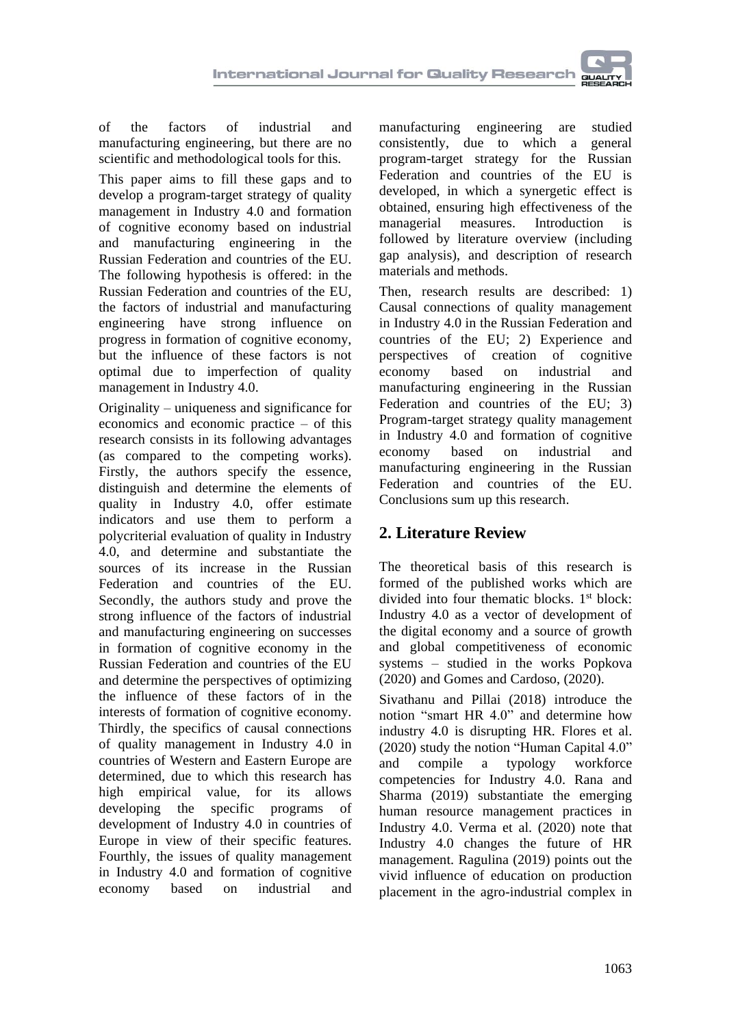

of the factors of industrial and manufacturing engineering, but there are no scientific and methodological tools for this.

This paper aims to fill these gaps and to develop a program-target strategy of quality management in Industry 4.0 and formation of cognitive economy based on industrial and manufacturing engineering in the Russian Federation and countries of the EU. The following hypothesis is offered: in the Russian Federation and countries of the EU, the factors of industrial and manufacturing engineering have strong influence on progress in formation of cognitive economy, but the influence of these factors is not optimal due to imperfection of quality management in Industry 4.0.

Originality – uniqueness and significance for economics and economic practice – of this research consists in its following advantages (as compared to the competing works). Firstly, the authors specify the essence, distinguish and determine the elements of quality in Industry 4.0, offer estimate indicators and use them to perform a polycriterial evaluation of quality in Industry 4.0, and determine and substantiate the sources of its increase in the Russian Federation and countries of the EU. Secondly, the authors study and prove the strong influence of the factors of industrial and manufacturing engineering on successes in formation of cognitive economy in the Russian Federation and countries of the EU and determine the perspectives of optimizing the influence of these factors of in the interests of formation of cognitive economy. Thirdly, the specifics of causal connections of quality management in Industry 4.0 in countries of Western and Eastern Europe are determined, due to which this research has high empirical value, for its allows developing the specific programs of development of Industry 4.0 in countries of Europe in view of their specific features. Fourthly, the issues of quality management in Industry 4.0 and formation of cognitive economy based on industrial and

manufacturing engineering are studied consistently, due to which a general program-target strategy for the Russian Federation and countries of the EU is developed, in which a synergetic effect is obtained, ensuring high effectiveness of the managerial measures. Introduction is followed by literature overview (including gap analysis), and description of research materials and methods.

Then, research results are described: 1) Causal connections of quality management in Industry 4.0 in the Russian Federation and countries of the EU; 2) Experience and perspectives of creation of cognitive economy based on industrial and manufacturing engineering in the Russian Federation and countries of the EU; 3) Program-target strategy quality management in Industry 4.0 and formation of cognitive economy based on industrial and manufacturing engineering in the Russian Federation and countries of the EU. Conclusions sum up this research.

# **2. Literature Review**

The theoretical basis of this research is formed of the published works which are divided into four thematic blocks. 1<sup>st</sup> block: Industry 4.0 as a vector of development of the digital economy and a source of growth and global competitiveness of economic systems – studied in the works Popkova (2020) and Gomes and Cardoso, (2020).

[Sivathanu](https://www.emerald.com/insight/search?q=Brijesh%20Sivathanu) and [Pillai](https://www.emerald.com/insight/search?q=Rajasshrie%20Pillai) (2018) introduce the notion "smart HR 4.0" and determine how industry 4.0 is disrupting HR. [Flores](https://www.emerald.com/insight/search?q=Emmanuel%20Flores) et al. (2020) study the notion "Human Capital 4.0" and compile a typology workforce competencies for Industry 4.0. [Rana](https://www.emerald.com/insight/search?q=Geeta%20Rana) and [Sharma](https://www.emerald.com/insight/search?q=Ravindra%20Sharma) (2019) substantiate the emerging human resource management practices in Industry 4.0. [Verma](https://www.emerald.com/insight/search?q=Anju%20Verma) et al. (2020) note that Industry 4.0 changes the future of HR management. [Ragulina](https://www.emerald.com/insight/search?q=Julia%20V.%20Ragulina) (2019) points out the vivid influence of education on production placement in the agro-industrial complex in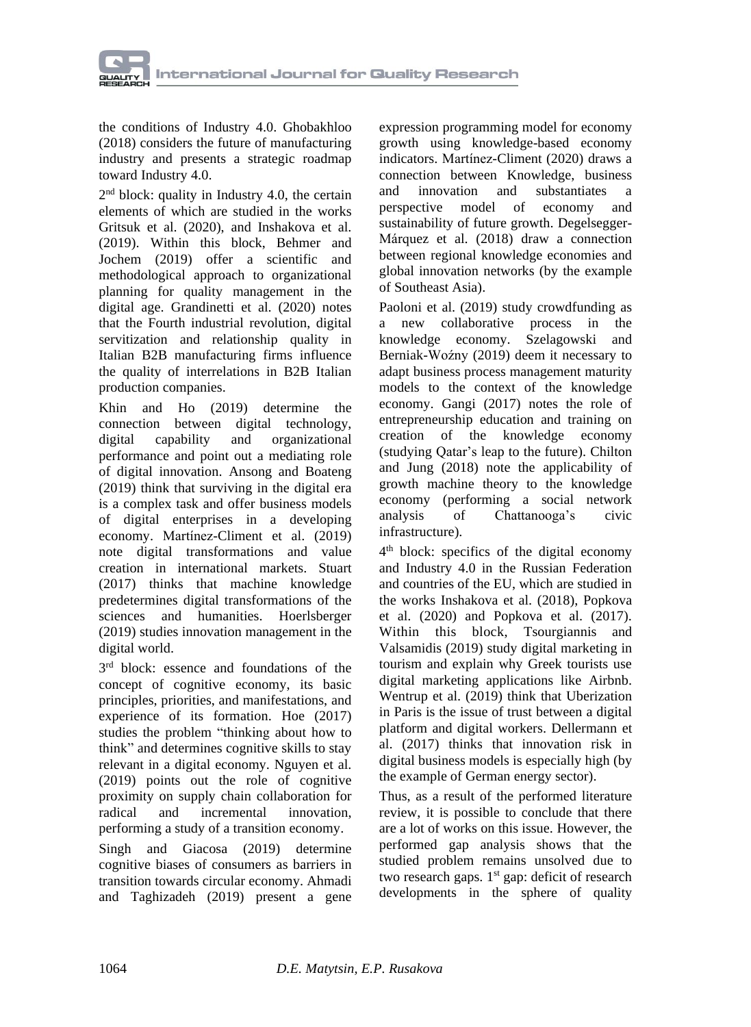the conditions of Industry 4.0. [Ghobakhloo](https://www.emerald.com/insight/search?q=Morteza%20Ghobakhloo) (2018) considers the future of manufacturing industry and presents a strategic roadmap toward Industry 4.0.

2<sup>nd</sup> block: quality in Industry 4.0, the certain elements of which are studied in the works Gritsuk et al. (2020), and [Inshakova](https://proxylibrary.hse.ru:2073/authid/detail.uri?origin=AuthorProfile&authorId=56185976100&zone=) et al. (2019). Within this block, [Behmer](https://www.emerald.com/insight/search?q=Falk%20Johannes%20Behmer) and [Jochem](https://www.emerald.com/insight/search?q=Roland%20Jochem) (2019) offer a scientific and methodological approach to organizational planning for quality management in the digital age. [Grandinetti](https://www.emerald.com/insight/search?q=Roberto%20Grandinetti) et al. (2020) notes that the Fourth industrial revolution, digital servitization and relationship quality in Italian B2B manufacturing firms influence the quality of interrelations in B2B Italian production companies.

[Khin](https://www.emerald.com/insight/search?q=Sabai%20Khin) and [Ho](https://www.emerald.com/insight/search?q=Theresa%20CF%20Ho) (2019) determine the connection between digital technology, digital capability and organizational performance and point out a mediating role of digital innovation. [Ansong](https://www.emerald.com/insight/search?q=Eric%20Ansong) and [Boateng](https://www.emerald.com/insight/search?q=Richard%20Boateng) (2019) think that surviving in the digital era is a complex task and offer business models of digital enterprises in a developing economy. [Martínez-Climent](https://www.emerald.com/insight/search?q=Carla%20Mart%C3%ADnez-Climent) et al. (2019) note digital transformations and value creation in international markets. [Stuart](https://www.emerald.com/insight/search?q=David%20Stuart) (2017) thinks that machine knowledge predetermines digital transformations of the sciences and humanities. [Hoerlsberger](https://www.emerald.com/insight/search?q=Marianne%20Hoerlsberger) (2019) studies innovation management in the digital world.

3<sup>rd</sup> block: essence and foundations of the concept of cognitive economy, its basic principles, priorities, and manifestations, and experience of its formation. [Hoe](https://www.emerald.com/insight/search?q=Siu%20Loon%20Hoe) (2017) studies the problem "thinking about how to think" and determines cognitive skills to stay relevant in a digital economy. [Nguyen](https://www.emerald.com/insight/search?q=Mai%20Anh%20Thi%20Nguyen) et al. (2019) points out the role of cognitive proximity on supply chain collaboration for radical and incremental innovation, performing a study of a transition economy.

[Singh](https://www.emerald.com/insight/search?q=Poonam%20Singh) and [Giacosa](https://www.emerald.com/insight/search?q=Elisa%20Giacosa) (2019) determine cognitive biases of consumers as barriers in transition towards circular economy. [Ahmadi](https://www.emerald.com/insight/search?q=Mohsen%20Ahmadi) and [Taghizadeh](https://www.emerald.com/insight/search?q=Rahim%20Taghizadeh) (2019) present a gene expression programming model for economy growth using knowledge-based economy indicators. [Martínez-Climent](https://www.emerald.com/insight/search?q=Carla%20Mart%C3%ADnez-Climent) (2020) draws a connection between Knowledge, business and innovation and substantiates a perspective model of economy and sustainability of future growth. [Degelsegger-](https://www.emerald.com/insight/search?q=Alexander%20Degelsegger-M%C3%A1rquez)[Márquez](https://www.emerald.com/insight/search?q=Alexander%20Degelsegger-M%C3%A1rquez) et al. (2018) draw a connection between regional knowledge economies and global innovation networks (by the example of Southeast Asia).

[Paoloni](https://www.emerald.com/insight/search?q=Paola%20Paoloni) et al. (2019) study crowdfunding as a new collaborative process in the knowledge economy. [Szelagowski](https://www.emerald.com/insight/search?q=Marek%20Szelagowski) and [Berniak-Woźny](https://www.emerald.com/insight/search?q=Justyna%20Berniak-Wo%C5%BAny) (2019) deem it necessary to adapt business process management maturity models to the context of the knowledge economy. [Gangi](https://www.emerald.com/insight/search?q=Yagoub%20Ali%20Gangi) (2017) notes the role of entrepreneurship education and training on creation of the knowledge economy (studying Qatar's leap to the future). [Chilton](https://www.emerald.com/insight/search?q=Kenneth%20Chilton) and [Jung](https://www.emerald.com/insight/search?q=Kyujin%20Jung) (2018) note the applicability of growth machine theory to the knowledge economy (performing a social network analysis of Chattanooga's civic infrastructure).

4 th block: specifics of the digital economy and Industry 4.0 in the Russian Federation and countries of the EU, which are studied in the works [Inshakova](https://proxylibrary.hse.ru:2073/authid/detail.uri?origin=AuthorProfile&authorId=56185976100&zone=) et al. (2018), Popkova et al. (2020) and [Popkova](https://proxylibrary.hse.ru:2073/authid/detail.uri?origin=resultslist&authorId=55671568200&zone=) et al. (2017). Within this block, [Tsourgiannis](https://www.emerald.com/insight/search?q=Lambros%20Tsourgiannis) and [Valsamidis](https://www.emerald.com/insight/search?q=Stavros%20Valsamidis) (2019) study digital marketing in tourism and explain why Greek tourists use digital marketing applications like Airbnb. [Wentrup](https://www.emerald.com/insight/search?q=Robert%20Wentrup) et al. (2019) think that Uberization in Paris is the issue of trust between a digital platform and digital workers. [Dellermann](https://www.emerald.com/insight/search?q=Dominik%20Dellermann) et al. (2017) thinks that innovation risk in digital business models is especially high (by the example of German energy sector).

Thus, as a result of the performed literature review, it is possible to conclude that there are a lot of works on this issue. However, the performed gap analysis shows that the studied problem remains unsolved due to two research gaps. 1<sup>st</sup> gap: deficit of research developments in the sphere of quality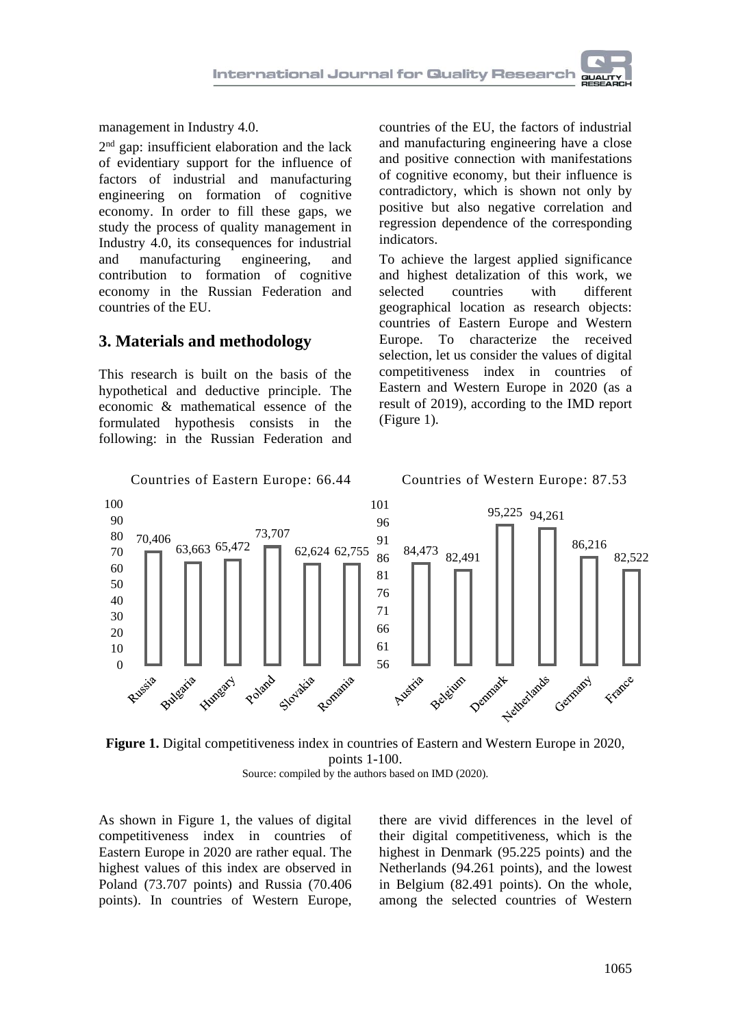management in Industry 4.0.

2<sup>nd</sup> gap: insufficient elaboration and the lack of evidentiary support for the influence of factors of industrial and manufacturing engineering on formation of cognitive economy. In order to fill these gaps, we study the process of quality management in Industry 4.0, its consequences for industrial and manufacturing engineering, and contribution to formation of cognitive economy in the Russian Federation and countries of the EU.

### **3. Materials and methodology**

This research is built on the basis of the hypothetical and deductive principle. The economic & mathematical essence of the formulated hypothesis consists in the following: in the Russian Federation and countries of the EU, the factors of industrial and manufacturing engineering have a close and positive connection with manifestations of cognitive economy, but their influence is contradictory, which is shown not only by positive but also negative correlation and regression dependence of the corresponding indicators.

To achieve the largest applied significance and highest detalization of this work, we selected countries with different geographical location as research objects: countries of Eastern Europe and Western Europe. To characterize the received selection, let us consider the values of digital competitiveness index in countries of Eastern and Western Europe in 2020 (as a result of 2019), according to the IMD report (Figure 1).





As shown in Figure 1, the values of digital competitiveness index in countries of Eastern Europe in 2020 are rather equal. The highest values of this index are observed in Poland (73.707 points) and Russia (70.406 points). In countries of Western Europe,

there are vivid differences in the level of their digital competitiveness, which is the highest in Denmark (95.225 points) and the Netherlands (94.261 points), and the lowest in Belgium (82.491 points). On the whole, among the selected countries of Western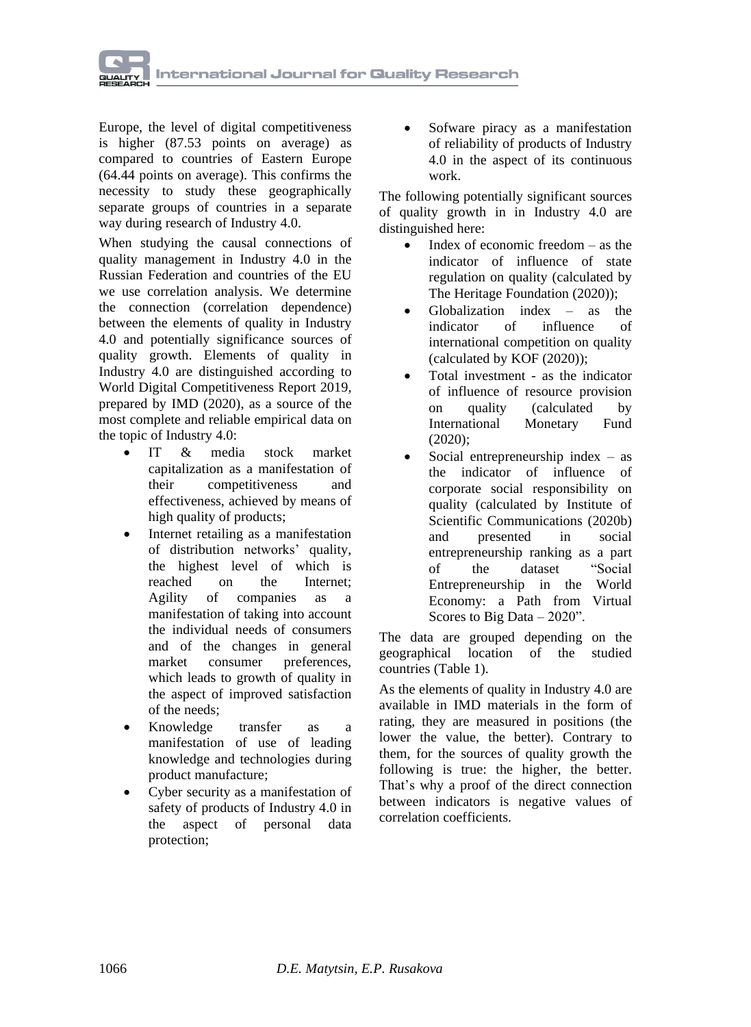

Europe, the level of digital competitiveness is higher (87.53 points on average) as compared to countries of Eastern Europe (64.44 points on average). This confirms the necessity to study these geographically separate groups of countries in a separate way during research of Industry 4.0.

When studying the causal connections of quality management in Industry 4.0 in the Russian Federation and countries of the EU we use correlation analysis. We determine the connection (correlation dependence) between the elements of quality in Industry 4.0 and potentially significance sources of quality growth. Elements of quality in Industry 4.0 are distinguished according to World Digital Competitiveness Report 2019, prepared by IMD (2020), as a source of the most complete and reliable empirical data on the topic of Industry 4.0:

- IT & media stock market capitalization as a manifestation of their competitiveness and effectiveness, achieved by means of high quality of products;
- Internet retailing as a manifestation of distribution networks' quality, the highest level of which is reached on the Internet;<br>Agility of companies as a Agility of companies as a manifestation of taking into account the individual needs of consumers and of the changes in general market consumer preferences, which leads to growth of quality in the aspect of improved satisfaction of the needs;
- Knowledge transfer as a manifestation of use of leading knowledge and technologies during product manufacture;
- Cyber security as a manifestation of safety of products of Industry 4.0 in the aspect of personal data protection;

• Sofware piracy as a manifestation of reliability of products of Industry 4.0 in the aspect of its continuous work.

The following potentially significant sources of quality growth in in Industry 4.0 are distinguished here:

- Index of economic freedom as the indicator of influence of state regulation on quality (calculated by The Heritage Foundation (2020));
- Globalization index  $-$  as the indicator of influence of international competition on quality (calculated by KOF (2020));
- Total investment as the indicator of influence of resource provision on quality (calculated by International Monetary Fund (2020);
- Social entrepreneurship index  $-$  as the indicator of influence of corporate social responsibility on quality (calculated by Institute of Scientific Communications (2020b) and presented in social entrepreneurship ranking as a part of the dataset "Social Entrepreneurship in the World Economy: a Path from Virtual Scores to Big Data – 2020".

The data are grouped depending on the geographical location of the studied countries (Table 1).

As the elements of quality in Industry 4.0 are available in IMD materials in the form of rating, they are measured in positions (the lower the value, the better). Contrary to them, for the sources of quality growth the following is true: the higher, the better. That's why a proof of the direct connection between indicators is negative values of correlation coefficients.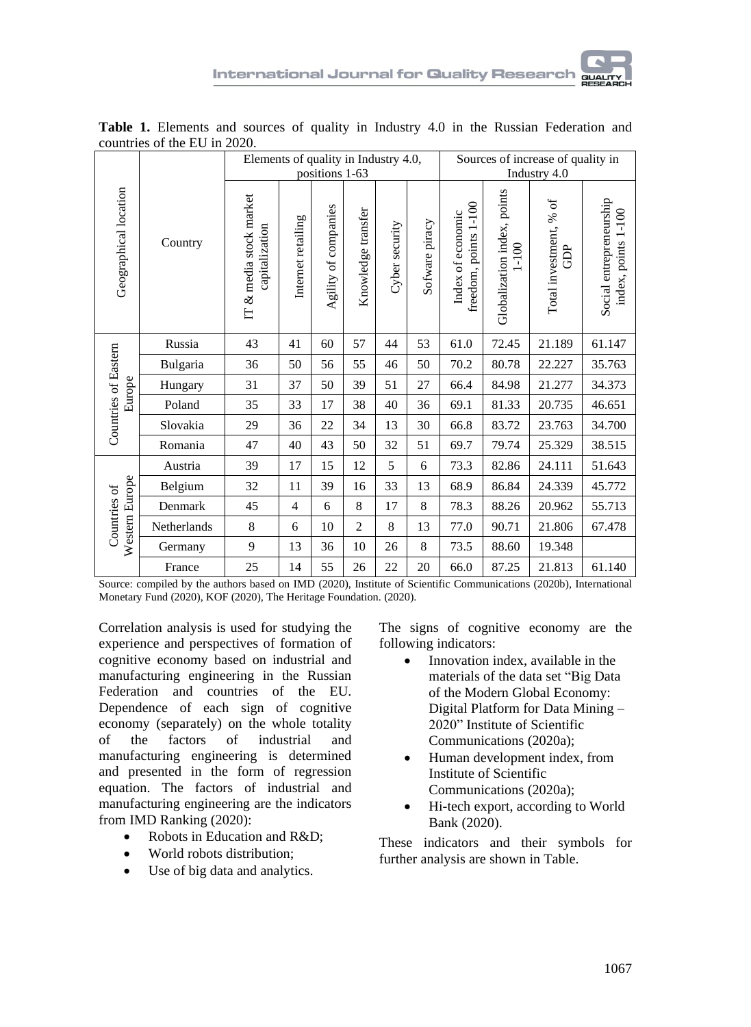

|                                |             | Elements of quality in Industry 4.0,        | positions 1-63     |                      |                    | Sources of increase of quality in<br>Industry 4.0 |                |                                            |                                          |                                              |                                                |
|--------------------------------|-------------|---------------------------------------------|--------------------|----------------------|--------------------|---------------------------------------------------|----------------|--------------------------------------------|------------------------------------------|----------------------------------------------|------------------------------------------------|
| Geographical location          | Country     | & media stock market<br>capitalization<br>E | Internet retailing | Agility of companies | Knowledge transfer | Cyber security                                    | Sofware piracy | freedom, points 1-100<br>Index of economic | Globalization index, points<br>$1 - 100$ | $\mathfrak{b}$<br>Total investment, %<br>GDP | Social entrepreneurship<br>index, points 1-100 |
|                                | Russia      | 43                                          | 41                 | 60                   | 57                 | 44                                                | 53             | 61.0                                       | 72.45                                    | 21.189                                       | 61.147                                         |
|                                | Bulgaria    | 36                                          | 50                 | 56                   | 55                 | 46                                                | 50             | 70.2                                       | 80.78                                    | 22.227                                       | 35.763                                         |
| Countries of Eastern<br>Europe | Hungary     | 31                                          | 37                 | 50                   | 39                 | 51                                                | 27             | 66.4                                       | 84.98                                    | 21.277                                       | 34.373                                         |
|                                | Poland      | 35                                          | 33                 | 17                   | 38                 | 40                                                | 36             | 69.1                                       | 81.33                                    | 20.735                                       | 46.651                                         |
|                                | Slovakia    | 29                                          | 36                 | 22                   | 34                 | 13                                                | 30             | 66.8                                       | 83.72                                    | 23.763                                       | 34.700                                         |
|                                | Romania     | 47                                          | 40                 | 43                   | 50                 | 32                                                | 51             | 69.7                                       | 79.74                                    | 25.329                                       | 38.515                                         |
| Western Europe<br>Countries of | Austria     | 39                                          | 17                 | 15                   | 12                 | 5                                                 | 6              | 73.3                                       | 82.86                                    | 24.111                                       | 51.643                                         |
|                                | Belgium     | 32                                          | 11                 | 39                   | 16                 | 33                                                | 13             | 68.9                                       | 86.84                                    | 24.339                                       | 45.772                                         |
|                                | Denmark     | 45                                          | $\overline{4}$     | 6                    | 8                  | 17                                                | 8              | 78.3                                       | 88.26                                    | 20.962                                       | 55.713                                         |
|                                | Netherlands | 8                                           | 6                  | 10                   | $\overline{2}$     | 8                                                 | 13             | 77.0                                       | 90.71                                    | 21.806                                       | 67.478                                         |
|                                | Germany     | 9                                           | 13                 | 36                   | 10                 | 26                                                | 8              | 73.5                                       | 88.60                                    | 19.348                                       |                                                |
|                                | France      | 25                                          | 14                 | 55                   | 26                 | 22                                                | 20             | 66.0                                       | 87.25                                    | 21.813                                       | 61.140                                         |

**Table 1.** Elements and sources of quality in Industry 4.0 in the Russian Federation and countries of the EU in 2020.

Source: compiled by the authors based on IMD (2020), Institute of Scientific Communications (2020b), International Monetary Fund (2020), KOF (2020), The Heritage Foundation. (2020).

Correlation analysis is used for studying the experience and perspectives of formation of cognitive economy based on industrial and manufacturing engineering in the Russian Federation and countries of the EU. Dependence of each sign of cognitive economy (separately) on the whole totality of the factors of industrial and manufacturing engineering is determined and presented in the form of regression equation. The factors of industrial and manufacturing engineering are the indicators from IMD Ranking (2020):

- Robots in Education and R&D:
- World robots distribution;
- Use of big data and analytics.

The signs of cognitive economy are the following indicators:

- Innovation index, available in the materials of the data set "Big Data of the Modern Global Economy: Digital Platform for Data Mining – 2020" Institute of Scientific Communications (2020a);
- Human development index, from Institute of Scientific Communications (2020a);
- Hi-tech export, according to World Bank (2020).

These indicators and their symbols for further analysis are shown in Table.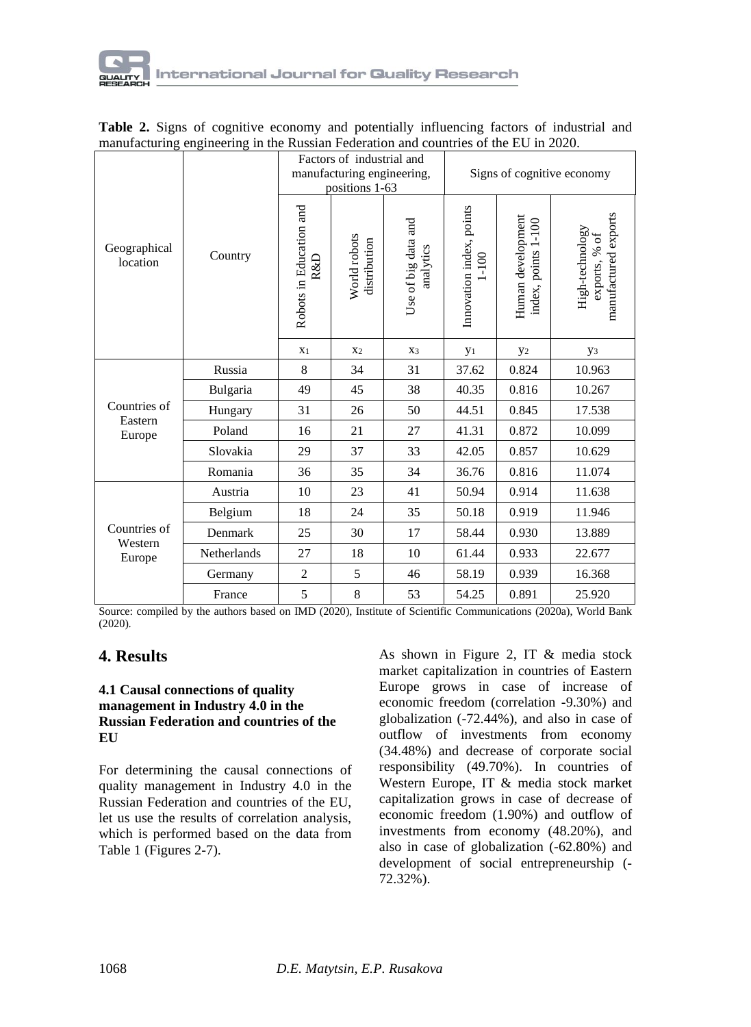

|                                   |             |                                | Factors of industrial and<br>manufacturing engineering,<br>positions 1-63 |                                  | Signs of cognitive economy            |                                                 |                                                          |  |
|-----------------------------------|-------------|--------------------------------|---------------------------------------------------------------------------|----------------------------------|---------------------------------------|-------------------------------------------------|----------------------------------------------------------|--|
| Geographical<br>location          | Country     | Robots in Education and<br>R&D | World robots<br>distribution                                              | Use of big data and<br>analytics | Innovation index, points<br>$1 - 100$ | Human development<br>$1 - 100$<br>index, points | manufactured exports<br>High-technology<br>exports, % of |  |
|                                   |             | X <sub>1</sub>                 | X <sub>2</sub>                                                            | X3                               | y <sub>1</sub>                        | y <sub>2</sub>                                  | У3                                                       |  |
|                                   | Russia      | 8                              | 34                                                                        | 31                               | 37.62                                 | 0.824                                           | 10.963                                                   |  |
|                                   | Bulgaria    | 49                             | 45                                                                        | 38                               | 40.35                                 | 0.816                                           | 10.267                                                   |  |
| Countries of                      | Hungary     | 31                             | 26                                                                        | 50                               | 44.51                                 | 0.845                                           | 17.538                                                   |  |
| Eastern<br>Europe                 | Poland      | 16                             | 21                                                                        | 27                               | 41.31                                 | 0.872                                           | 10.099                                                   |  |
|                                   | Slovakia    | 29                             | 37                                                                        | 33                               | 42.05                                 | 0.857                                           | 10.629                                                   |  |
|                                   | Romania     | 36                             | 35                                                                        | 34                               | 36.76                                 | 0.816                                           | 11.074                                                   |  |
|                                   | Austria     | 10                             | 23                                                                        | 41                               | 50.94                                 | 0.914                                           | 11.638                                                   |  |
|                                   | Belgium     | 18                             | 24                                                                        | 35                               | 50.18                                 | 0.919                                           | 11.946                                                   |  |
| Countries of<br>Western<br>Europe | Denmark     | 25                             | 30                                                                        | 17                               | 58.44                                 | 0.930                                           | 13.889                                                   |  |
|                                   | Netherlands | 27                             | 18                                                                        | 10                               | 61.44                                 | 0.933                                           | 22.677                                                   |  |
|                                   | Germany     | $\overline{2}$                 | 5                                                                         | 46                               | 58.19                                 | 0.939                                           | 16.368                                                   |  |
|                                   | France      | 5                              | $\,8\,$                                                                   | 53                               | 54.25                                 | 0.891                                           | 25.920                                                   |  |

|  |  |  |                                                                                      | Table 2. Signs of cognitive economy and potentially influencing factors of industrial and |  |
|--|--|--|--------------------------------------------------------------------------------------|-------------------------------------------------------------------------------------------|--|
|  |  |  | manufacturing engineering in the Russian Federation and countries of the EU in 2020. |                                                                                           |  |

Source: compiled by the authors based on IMD (2020), Institute of Scientific Communications (2020a), World Bank (2020).

### **4. Results**

### **4.1 Causal connections of quality management in Industry 4.0 in the Russian Federation and countries of the EU**

For determining the causal connections of quality management in Industry 4.0 in the Russian Federation and countries of the EU, let us use the results of correlation analysis, which is performed based on the data from Table 1 (Figures 2-7).

As shown in Figure 2, IT & media stock market capitalization in countries of Eastern Europe grows in case of increase of economic freedom (correlation -9.30%) and globalization (-72.44%), and also in case of outflow of investments from economy (34.48%) and decrease of corporate social responsibility (49.70%). In countries of Western Europe, IT & media stock market capitalization grows in case of decrease of economic freedom (1.90%) and outflow of investments from economy (48.20%), and also in case of globalization (-62.80%) and development of social entrepreneurship (- 72.32%).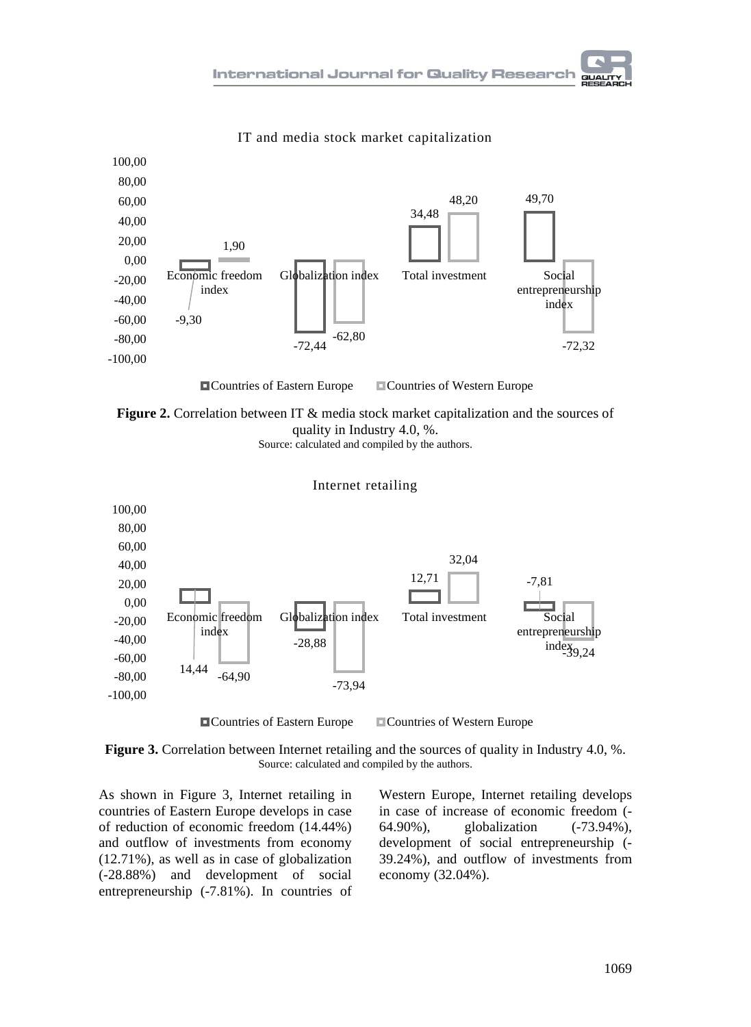



### IT and media stock market capitalization



Source: calculated and compiled by the authors.



**Figure 3.** Correlation between Internet retailing and the sources of quality in Industry 4.0, %. Source: calculated and compiled by the authors.

As shown in Figure 3, Internet retailing in countries of Eastern Europe develops in case of reduction of economic freedom (14.44%) and outflow of investments from economy (12.71%), as well as in case of globalization (-28.88%) and development of social entrepreneurship (-7.81%). In countries of

Western Europe, Internet retailing develops in case of increase of economic freedom (- 64.90%), globalization (-73.94%), development of social entrepreneurship (- 39.24%), and outflow of investments from economy (32.04%).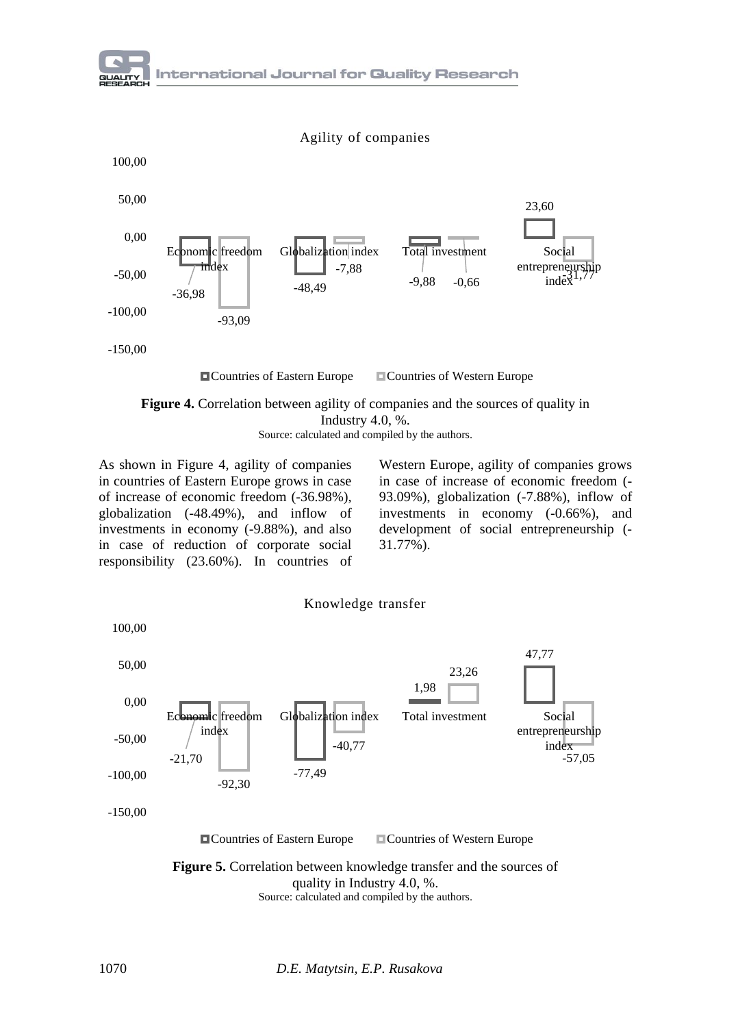$-36,98$   $-48,49$   $-9,88$ 23,60 -93,09 -7,88  $-0,66$ -150,00 -100,00 -50,00 0,00 50,00 100,00 Economic freedom index Globalization index Total investment Social entrepreneurship index Agility of companies **Countries of Eastern Europe** Countries of Western Europe

**Figure 4.** Correlation between agility of companies and the sources of quality in Industry 4.0, %. Source: calculated and compiled by the authors.

As shown in Figure 4, agility of companies in countries of Eastern Europe grows in case of increase of economic freedom (-36.98%), globalization (-48.49%), and inflow of investments in economy (-9.88%), and also in case of reduction of corporate social responsibility (23.60%). In countries of

Western Europe, agility of companies grows in case of increase of economic freedom (- 93.09%), globalization (-7.88%), inflow of investments in economy (-0.66%), and development of social entrepreneurship (- 31.77%).



**Figure 5.** Correlation between knowledge transfer and the sources of quality in Industry 4.0, %. Source: calculated and compiled by the authors.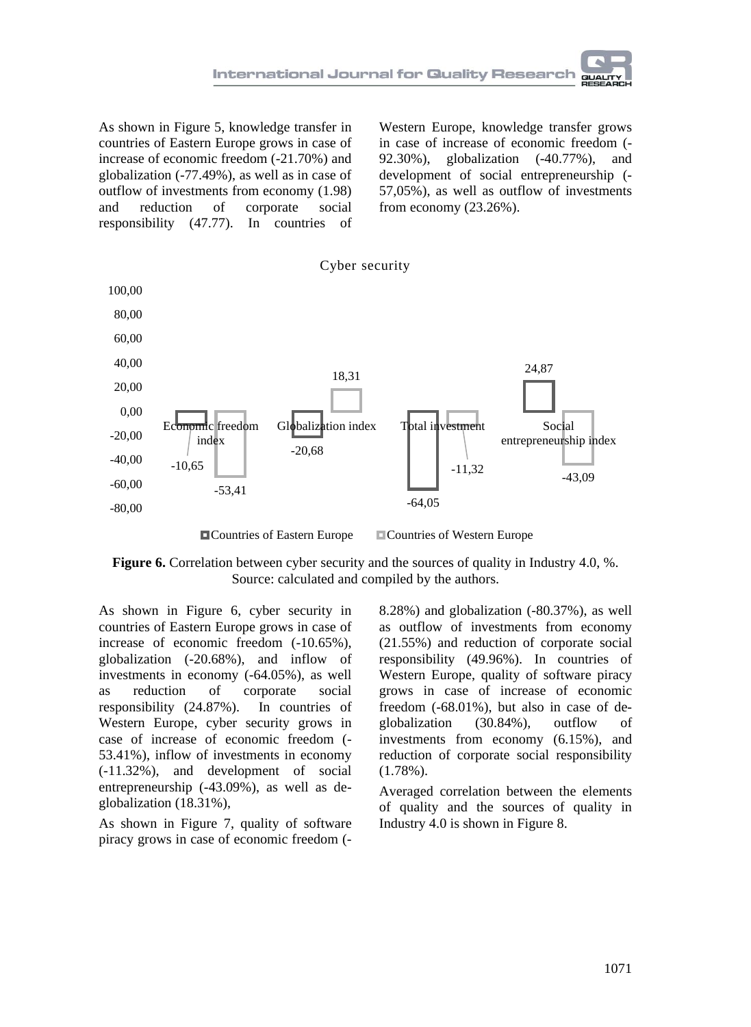As shown in Figure 5, knowledge transfer in countries of Eastern Europe grows in case of increase of economic freedom (-21.70%) and globalization (-77.49%), as well as in case of outflow of investments from economy (1.98) and reduction of corporate social responsibility (47.77). In countries of

Western Europe, knowledge transfer grows in case of increase of economic freedom (- 92.30%), globalization (-40.77%), and development of social entrepreneurship (- 57,05%), as well as outflow of investments from economy (23.26%).



**Figure 6.** Correlation between cyber security and the sources of quality in Industry 4.0, %. Source: calculated and compiled by the authors.

As shown in Figure 6, cyber security in countries of Eastern Europe grows in case of increase of economic freedom (-10.65%), globalization (-20.68%), and inflow of investments in economy (-64.05%), as well as reduction of corporate social responsibility (24.87%). In countries of Western Europe, cyber security grows in case of increase of economic freedom (- 53.41%), inflow of investments in economy (-11.32%), and development of social entrepreneurship (-43.09%), as well as deglobalization (18.31%),

As shown in Figure 7, quality of software piracy grows in case of economic freedom (-

8.28%) and globalization (-80.37%), as well as outflow of investments from economy (21.55%) and reduction of corporate social responsibility (49.96%). In countries of Western Europe, quality of software piracy grows in case of increase of economic freedom (-68.01%), but also in case of deglobalization (30.84%), outflow of investments from economy (6.15%), and reduction of corporate social responsibility (1.78%).

Averaged correlation between the elements of quality and the sources of quality in Industry 4.0 is shown in Figure 8.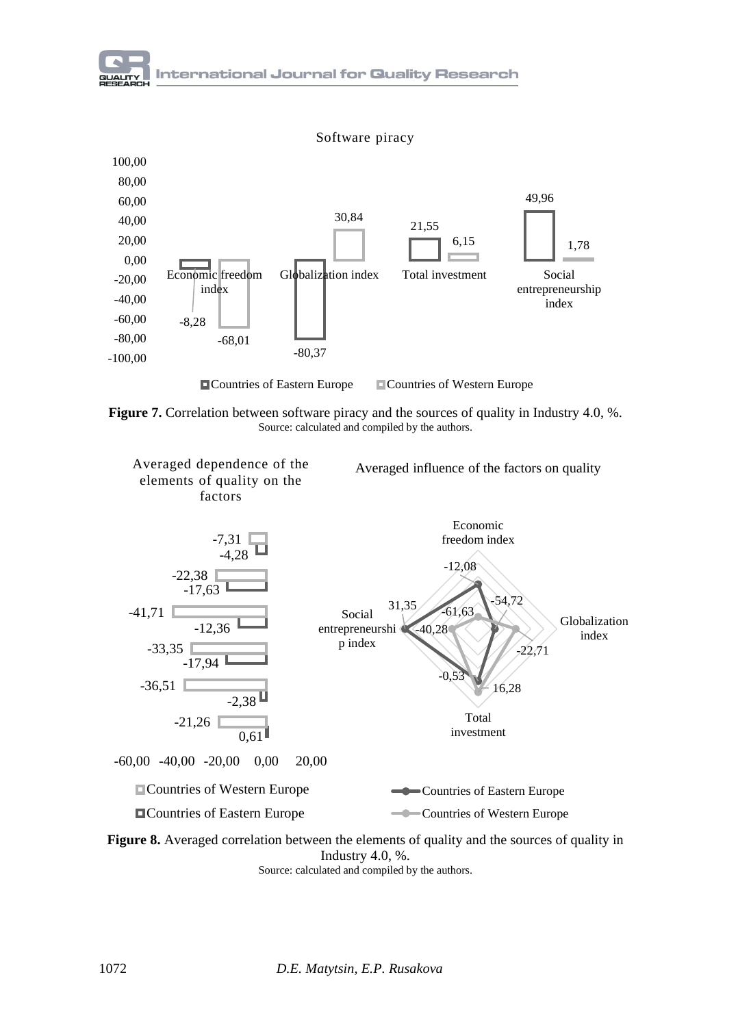

**Figure 7.** Correlation between software piracy and the sources of quality in Industry 4.0, %. Source: calculated and compiled by the authors.



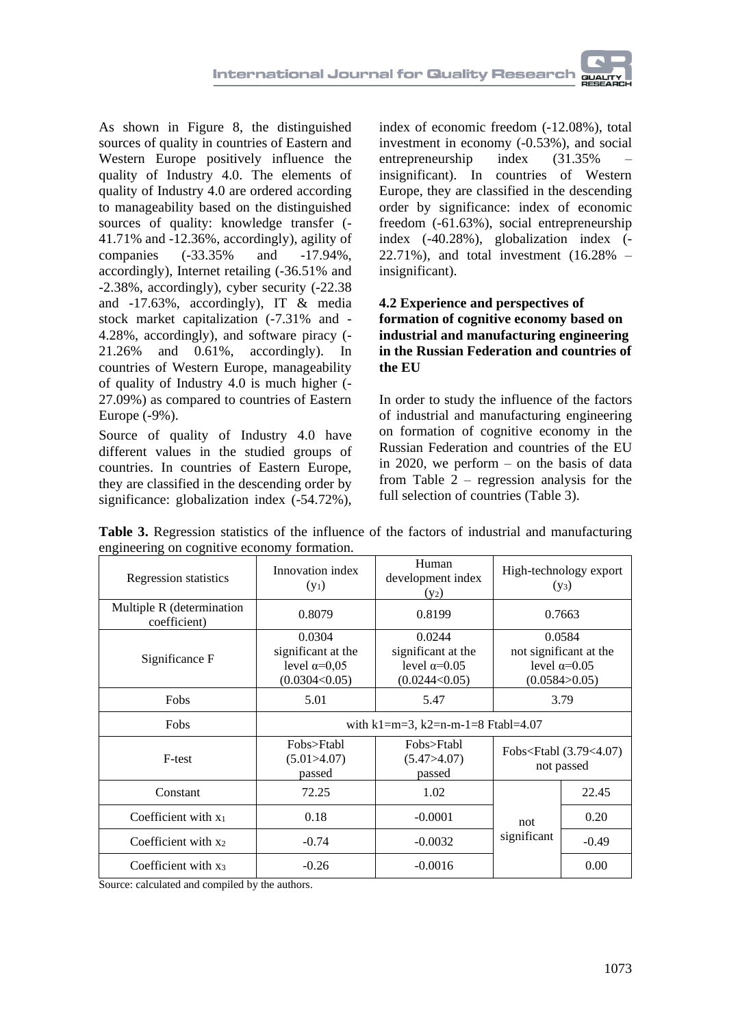As shown in Figure 8, the distinguished sources of quality in countries of Eastern and Western Europe positively influence the quality of Industry 4.0. The elements of quality of Industry 4.0 are ordered according to manageability based on the distinguished sources of quality: knowledge transfer (- 41.71% and -12.36%, accordingly), agility of companies (-33.35% and -17.94%, accordingly), Internet retailing (-36.51% and -2.38%, accordingly), cyber security (-22.38 and -17.63%, accordingly), IT & media stock market capitalization (-7.31% and - 4.28%, accordingly), and software piracy (- 21.26% and 0.61%, accordingly). In countries of Western Europe, manageability of quality of Industry 4.0 is much higher (- 27.09%) as compared to countries of Eastern Europe (-9%).

Source of quality of Industry 4.0 have different values in the studied groups of countries. In countries of Eastern Europe, they are classified in the descending order by significance: globalization index (-54.72%),

index of economic freedom (-12.08%), total investment in economy (-0.53%), and social entrepreneurship index (31.35% – insignificant). In countries of Western Europe, they are classified in the descending order by significance: index of economic freedom (-61.63%), social entrepreneurship index (-40.28%), globalization index (- 22.71%), and total investment (16.28% – insignificant).

### **4.2 Experience and perspectives of formation of cognitive economy based on industrial and manufacturing engineering in the Russian Federation and countries of the EU**

In order to study the influence of the factors of industrial and manufacturing engineering on formation of cognitive economy in the Russian Federation and countries of the EU in 2020, we perform – on the basis of data from Table 2 – regression analysis for the full selection of countries (Table 3).

| Regression statistics                     | Innovation index<br>$(y_1)$                                                                                                                   | Human<br>development index<br>$(y_2)$ | High-technology export<br>$(y_3)$                                           |        |  |  |  |
|-------------------------------------------|-----------------------------------------------------------------------------------------------------------------------------------------------|---------------------------------------|-----------------------------------------------------------------------------|--------|--|--|--|
| Multiple R (determination<br>coefficient) | 0.8079                                                                                                                                        | 0.8199                                |                                                                             | 0.7663 |  |  |  |
| Significance F                            | 0.0304<br>0.0244<br>significant at the<br>significant at the<br>level $\alpha$ =0.05<br>level $\alpha=0.05$<br>(0.0304<0.05)<br>(0.0244<0.05) |                                       | 0.0584<br>not significant at the<br>level $\alpha$ =0.05<br>(0.0584 > 0.05) |        |  |  |  |
| Fobs                                      | 5.01                                                                                                                                          | 5.47                                  | 3.79                                                                        |        |  |  |  |
| Fobs                                      | with $k1 = m = 3$ , $k2 = n-m-1 = 8$ Ftabl=4.07                                                                                               |                                       |                                                                             |        |  |  |  |
| F-test                                    | Fobs>Ftabl<br>(5.01>4.07)<br>passed                                                                                                           | Fobs>Ftabl<br>(5.47>4.07)<br>passed   | Fobs <ftabl (3.79<4.07)<br="">not passed</ftabl>                            |        |  |  |  |
| Constant                                  | 72.25                                                                                                                                         | 1.02                                  |                                                                             | 22.45  |  |  |  |
| Coefficient with $x_1$                    | 0.18                                                                                                                                          | $-0.0001$                             | not                                                                         | 0.20   |  |  |  |
| Coefficient with x <sub>2</sub>           | $-0.74$                                                                                                                                       | $-0.0032$                             | significant<br>$-0.49$                                                      |        |  |  |  |
| Coefficient with x3                       | $-0.26$                                                                                                                                       | $-0.0016$                             |                                                                             | 0.00   |  |  |  |

**Table 3.** Regression statistics of the influence of the factors of industrial and manufacturing engineering on cognitive economy formation.

Source: calculated and compiled by the authors.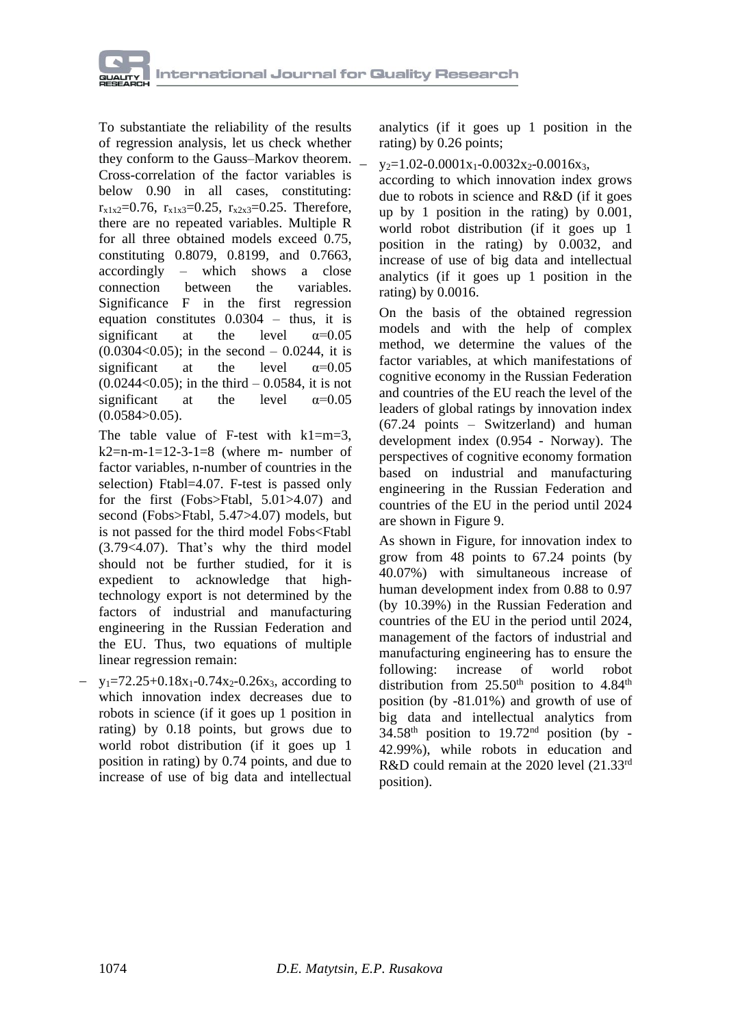

To substantiate the reliability of the results of regression analysis, let us check whether they conform to the Gauss–Markov theorem. Cross-correlation of the factor variables is below 0.90 in all cases, constituting:  $r_{x1x2}=0.76$ ,  $r_{x1x3}=0.25$ ,  $r_{x2x3}=0.25$ . Therefore, there are no repeated variables. Multiple R for all three obtained models exceed 0.75, constituting 0.8079, 0.8199, and 0.7663, accordingly – which shows a close connection between the variables. Significance F in the first regression equation constitutes 0.0304 – thus, it is significant at the level  $\alpha=0.05$  $(0.0304<0.05)$ ; in the second – 0.0244, it is significant at the level  $\alpha=0.05$  $(0.0244<0.05)$ ; in the third – 0.0584, it is not significant at the level  $\alpha$ =0.05  $(0.0584>0.05)$ .

The table value of F-test with  $k1=m=3$ .  $k2=n-m-1=12-3-1=8$  (where m- number of factor variables, n-number of countries in the selection) Ftabl=4.07. F-test is passed only for the first (Fobs>Ftabl, 5.01>4.07) and second (Fobs>Ftabl, 5.47>4.07) models, but is not passed for the third model Fobs<Ftabl (3.79<4.07). That's why the third model should not be further studied, for it is expedient to acknowledge that hightechnology export is not determined by the factors of industrial and manufacturing engineering in the Russian Federation and the EU. Thus, two equations of multiple linear regression remain:

 $y_1$ =72.25+0.18x<sub>1</sub>-0.74x<sub>2</sub>-0.26x<sub>3</sub>, according to which innovation index decreases due to robots in science (if it goes up 1 position in rating) by 0.18 points, but grows due to world robot distribution (if it goes up 1 position in rating) by 0.74 points, and due to increase of use of big data and intellectual

analytics (if it goes up 1 position in the rating) by 0.26 points;

 $y_2=1.02-0.0001x_1-0.0032x_2-0.0016x_3$ 

according to which innovation index grows due to robots in science and R&D (if it goes up by 1 position in the rating) by 0.001, world robot distribution (if it goes up 1 position in the rating) by 0.0032, and increase of use of big data and intellectual analytics (if it goes up 1 position in the rating) by 0.0016.

On the basis of the obtained regression models and with the help of complex method, we determine the values of the factor variables, at which manifestations of cognitive economy in the Russian Federation and countries of the EU reach the level of the leaders of global ratings by innovation index (67.24 points – Switzerland) and human development index (0.954 - Norway). The perspectives of cognitive economy formation based on industrial and manufacturing engineering in the Russian Federation and countries of the EU in the period until 2024 are shown in Figure 9.

As shown in Figure, for innovation index to grow from 48 points to 67.24 points (by 40.07%) with simultaneous increase of human development index from 0.88 to 0.97 (by 10.39%) in the Russian Federation and countries of the EU in the period until 2024, management of the factors of industrial and manufacturing engineering has to ensure the following: increase of world robot distribution from  $25.50<sup>th</sup>$  position to  $4.84<sup>th</sup>$ position (by -81.01%) and growth of use of big data and intellectual analytics from  $34.58<sup>th</sup>$  position to  $19.72<sup>nd</sup>$  position (by -42.99%), while robots in education and R&D could remain at the 2020 level (21.33rd position).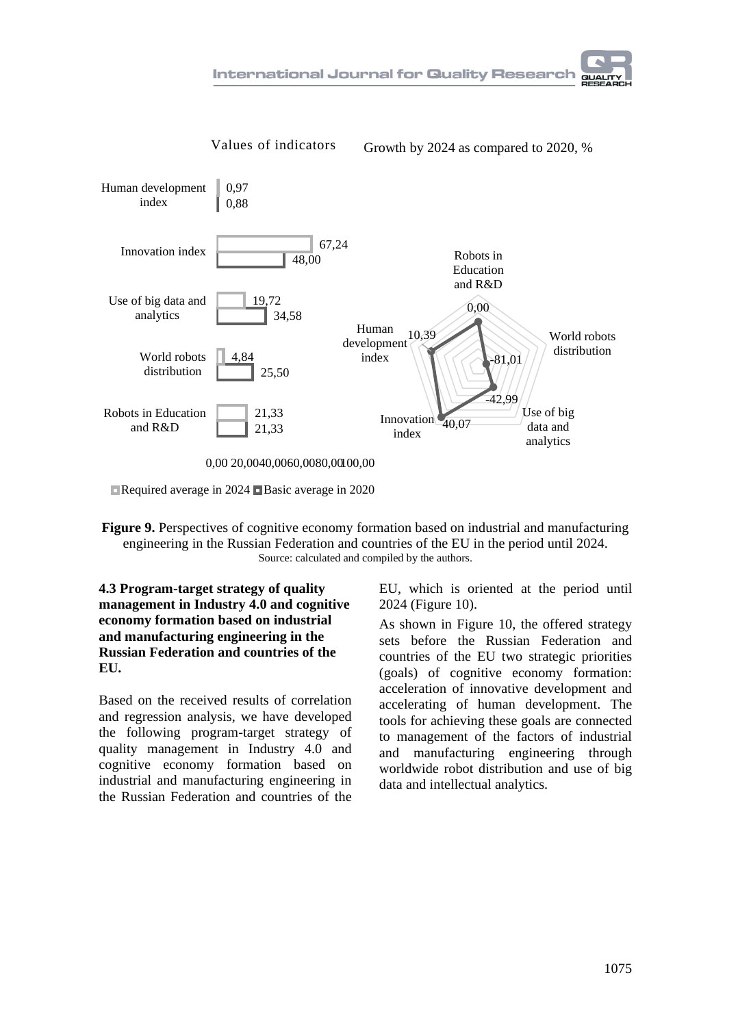

Required average in 2024 Basic average in 2020

**Figure 9.** Perspectives of cognitive economy formation based on industrial and manufacturing engineering in the Russian Federation and countries of the EU in the period until 2024. Source: calculated and compiled by the authors.

**4.3 Program-target strategy of quality management in Industry 4.0 and cognitive economy formation based on industrial and manufacturing engineering in the Russian Federation and countries of the EU.**

Based on the received results of correlation and regression analysis, we have developed the following program-target strategy of quality management in Industry 4.0 and cognitive economy formation based on industrial and manufacturing engineering in the Russian Federation and countries of the EU, which is oriented at the period until 2024 (Figure 10).

As shown in Figure 10, the offered strategy sets before the Russian Federation and countries of the EU two strategic priorities (goals) of cognitive economy formation: acceleration of innovative development and accelerating of human development. The tools for achieving these goals are connected to management of the factors of industrial and manufacturing engineering through worldwide robot distribution and use of big data and intellectual analytics.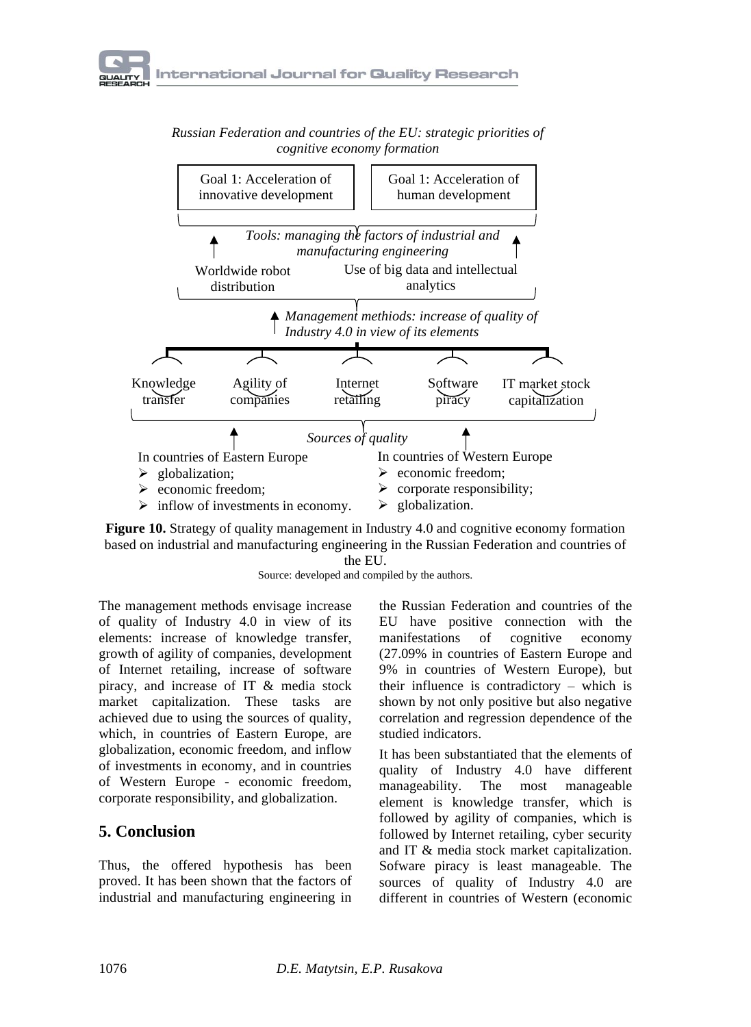*Russian Federation and countries of the EU: strategic priorities of cognitive economy formation*





Source: developed and compiled by the authors.

The management methods envisage increase of quality of Industry 4.0 in view of its elements: increase of knowledge transfer, growth of agility of companies, development of Internet retailing, increase of software piracy, and increase of IT & media stock market capitalization. These tasks are achieved due to using the sources of quality, which, in countries of Eastern Europe, are globalization, economic freedom, and inflow of investments in economy, and in countries of Western Europe - economic freedom, corporate responsibility, and globalization.

# **5. Conclusion**

Thus, the offered hypothesis has been proved. It has been shown that the factors of industrial and manufacturing engineering in

the Russian Federation and countries of the EU have positive connection with the manifestations of cognitive economy (27.09% in countries of Eastern Europe and 9% in countries of Western Europe), but their influence is contradictory – which is shown by not only positive but also negative correlation and regression dependence of the studied indicators.

It has been substantiated that the elements of quality of Industry 4.0 have different manageability. The most manageable element is knowledge transfer, which is followed by agility of companies, which is followed by Internet retailing, cyber security and IT & media stock market capitalization. Sofware piracy is least manageable. The sources of quality of Industry 4.0 are different in countries of Western (economic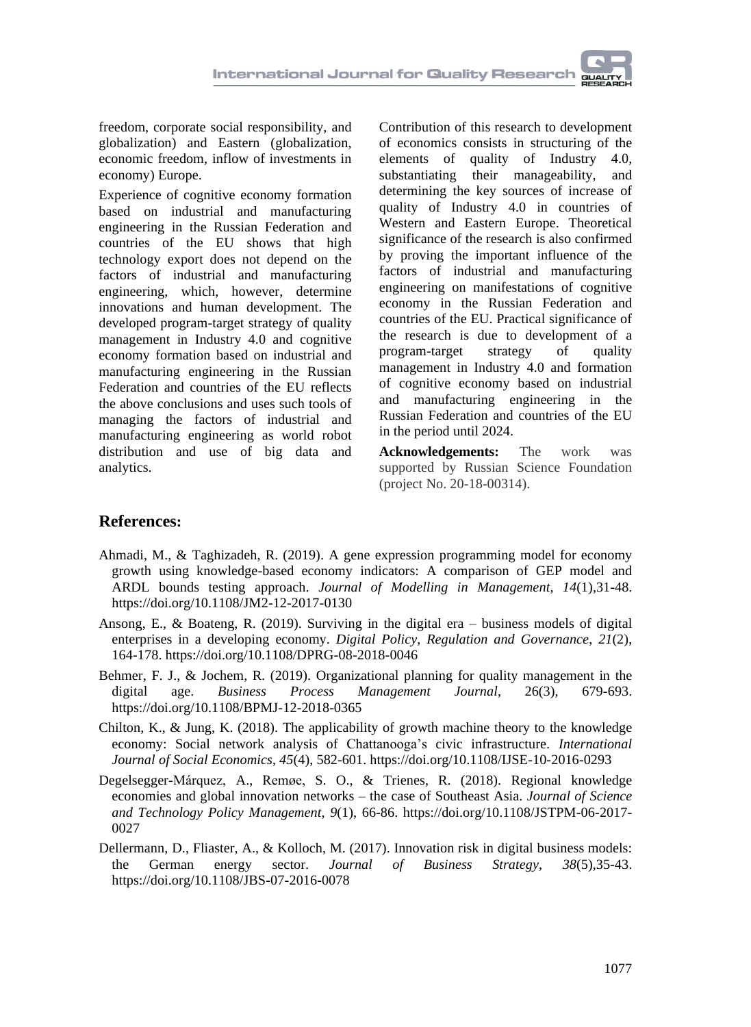

freedom, corporate social responsibility, and globalization) and Eastern (globalization, economic freedom, inflow of investments in economy) Europe.

Experience of cognitive economy formation based on industrial and manufacturing engineering in the Russian Federation and countries of the EU shows that high technology export does not depend on the factors of industrial and manufacturing engineering, which, however, determine innovations and human development. The developed program-target strategy of quality management in Industry 4.0 and cognitive economy formation based on industrial and manufacturing engineering in the Russian Federation and countries of the EU reflects the above conclusions and uses such tools of managing the factors of industrial and manufacturing engineering as world robot distribution and use of big data and analytics.

Contribution of this research to development of economics consists in structuring of the elements of quality of Industry 4.0, substantiating their manageability, and determining the key sources of increase of quality of Industry 4.0 in countries of Western and Eastern Europe. Theoretical significance of the research is also confirmed by proving the important influence of the factors of industrial and manufacturing engineering on manifestations of cognitive economy in the Russian Federation and countries of the EU. Practical significance of the research is due to development of a program-target strategy of quality management in Industry 4.0 and formation of cognitive economy based on industrial and manufacturing engineering in the Russian Federation and countries of the EU in the period until 2024.

**Acknowledgements:** The work was supported by Russian Science Foundation (project No. 20-18-00314).

### **References:**

- [Ahmadi,](https://www.emerald.com/insight/search?q=Mohsen%20Ahmadi) M., & [Taghizadeh,](https://www.emerald.com/insight/search?q=Rahim%20Taghizadeh) R. (2019). A gene expression programming model for economy growth using knowledge-based economy indicators: A comparison of GEP model and ARDL bounds testing approach. *Journal of Modelling in [Management](https://www.emerald.com/insight/publication/issn/1746-5664)*, *14*(1),31-48. <https://doi.org/10.1108/JM2-12-2017-0130>
- [Ansong,](https://www.emerald.com/insight/search?q=Eric%20Ansong) E., & [Boateng,](https://www.emerald.com/insight/search?q=Richard%20Boateng) R. (2019). Surviving in the digital era business models of digital enterprises in a developing economy. *Digital Policy, Regulation and [Governance](https://www.emerald.com/insight/publication/issn/2398-5038)*, *21*(2), 164-178. <https://doi.org/10.1108/DPRG-08-2018-0046>
- [Behmer,](https://www.emerald.com/insight/search?q=Falk%20Johannes%20Behmer) F. J., & [Jochem,](https://www.emerald.com/insight/search?q=Roland%20Jochem) R. (2019). Organizational planning for quality management in the digital age. *Business Process [Management](https://www.emerald.com/insight/publication/issn/1463-7154) Journal*, 26(3), 679-693. <https://doi.org/10.1108/BPMJ-12-2018-0365>
- [Chilton,](https://www.emerald.com/insight/search?q=Kenneth%20Chilton) K., & [Jung,](https://www.emerald.com/insight/search?q=Kyujin%20Jung) K. (2018). The applicability of growth machine theory to the knowledge economy: Social network analysis of Chattanooga's civic infrastructure. *[International](https://www.emerald.com/insight/publication/issn/0306-8293) Journal of Social [Economics](https://www.emerald.com/insight/publication/issn/0306-8293)*, *45*(4), 582-601. <https://doi.org/10.1108/IJSE-10-2016-0293>
- [Degelsegger-Márquez,](https://www.emerald.com/insight/search?q=Alexander%20Degelsegger-M%C3%A1rquez) A., [Remøe,](https://www.emerald.com/insight/search?q=Svend%20Otto%20Rem%C3%B8e) S. O., & [Trienes,](https://www.emerald.com/insight/search?q=Rudie%20Trienes) R. (2018). Regional knowledge economies and global innovation networks – the case of Southeast Asia. *[Journal](https://www.emerald.com/insight/publication/issn/2053-4620) of Science and Technology Policy [Management](https://www.emerald.com/insight/publication/issn/2053-4620)*, *9*(1), 66-86. [https://doi.org/10.1108/JSTPM-06-2017-](https://doi.org/10.1108/JSTPM-06-2017-0027) [0027](https://doi.org/10.1108/JSTPM-06-2017-0027)
- [Dellermann,](https://www.emerald.com/insight/search?q=Dominik%20Dellermann) D., [Fliaster,](https://www.emerald.com/insight/search?q=Alexander%20Fliaster) A., & [Kolloch,](https://www.emerald.com/insight/search?q=Michael%20Kolloch) M. (2017). Innovation risk in digital business models: the German energy sector. *Journal of [Business](https://www.emerald.com/insight/publication/issn/0275-6668) Strategy*, *38*(5),35-43. <https://doi.org/10.1108/JBS-07-2016-0078>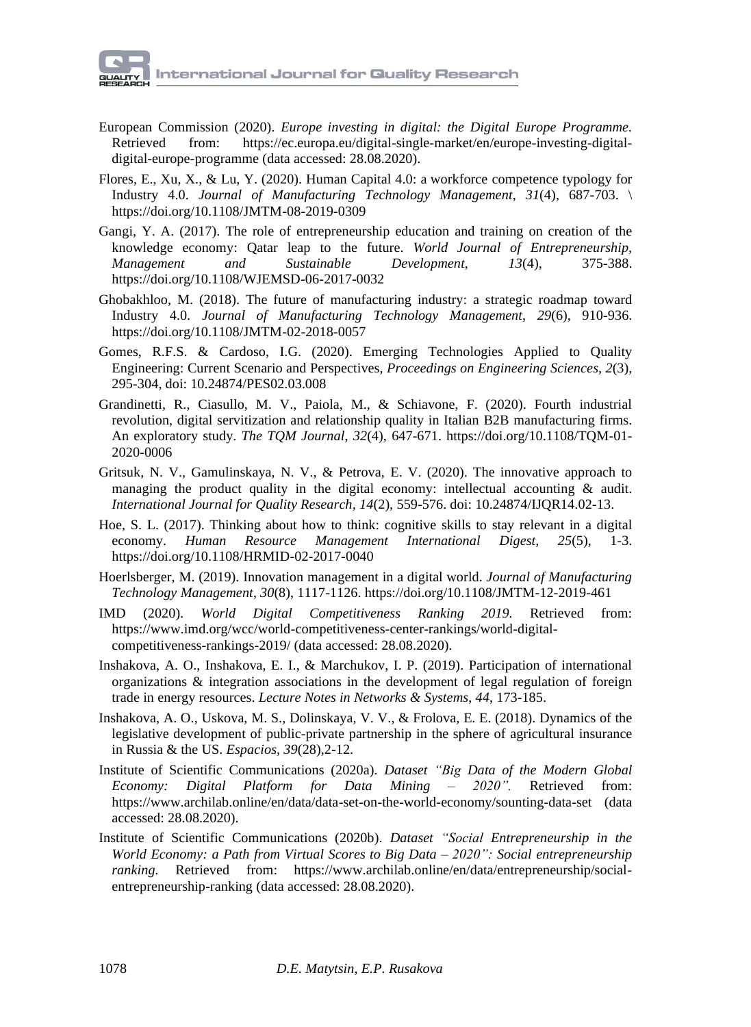- European [Commission](https://ec.europa.eu/info/index_en) (2020). *Europe investing in digital: the Digital Europe Programme.* Retrieved from: [https://ec.europa.eu/digital-single-market/en/europe-investing-digital](https://ec.europa.eu/digital-single-market/en/europe-investing-digital-digital-europe-programme)[digital-europe-programme](https://ec.europa.eu/digital-single-market/en/europe-investing-digital-digital-europe-programme) (data accessed: 28.08.2020).
- [Flores,](https://www.emerald.com/insight/search?q=Emmanuel%20Flores) E., [Xu,](https://www.emerald.com/insight/search?q=Xun%20Xu) X., & [Lu,](https://www.emerald.com/insight/search?q=Yuqian%20Lu) Y. (2020). Human Capital 4.0: a workforce competence typology for Industry 4.0. *Journal of [Manufacturing](https://www.emerald.com/insight/publication/issn/1741-038X) Technology Management*, *31*(4), 687-703. \ <https://doi.org/10.1108/JMTM-08-2019-0309>
- [Gangi,](https://www.emerald.com/insight/search?q=Yagoub%20Ali%20Gangi) Y. A. (2017). The role of entrepreneurship education and training on creation of the knowledge economy: Qatar leap to the future. *World Journal of [Entrepreneurship,](https://www.emerald.com/insight/publication/issn/2042-5961) and Sustainable [Development](https://www.emerald.com/insight/publication/issn/2042-5961)*, 13(4), 375-388. <https://doi.org/10.1108/WJEMSD-06-2017-0032>
- [Ghobakhloo,](https://www.emerald.com/insight/search?q=Morteza%20Ghobakhloo) M. (2018). The future of manufacturing industry: a strategic roadmap toward Industry 4.0. *Journal of [Manufacturing](https://www.emerald.com/insight/publication/issn/1741-038X) Technology Management*, *29*(6), 910-936. <https://doi.org/10.1108/JMTM-02-2018-0057>
- Gomes, R.F.S. & Cardoso, I.G. (2020). Emerging Technologies Applied to Quality Engineering: Current Scenario and Perspectives, *Proceedings on Engineering Sciences, 2*(3), 295-304, doi: 10.24874/PES02.03.008
- [Grandinetti,](https://www.emerald.com/insight/search?q=Roberto%20Grandinetti) R., [Ciasullo,](https://www.emerald.com/insight/search?q=Maria%20Vincenza%20Ciasullo) M. V., [Paiola,](https://www.emerald.com/insight/search?q=Marco%20Paiola) M., & [Schiavone,](https://www.emerald.com/insight/search?q=Francesco%20Schiavone) F. (2020). Fourth industrial revolution, digital servitization and relationship quality in Italian B2B manufacturing firms. An exploratory study. *The TQM [Journal](https://www.emerald.com/insight/publication/issn/1754-2731)*, *32*(4), 647-671. [https://doi.org/10.1108/TQM-01-](https://doi.org/10.1108/TQM-01-2020-0006) [2020-0006](https://doi.org/10.1108/TQM-01-2020-0006)
- Gritsuk, N. V., Gamulinskaya, N. V., & Petrova, E. V. (2020). The innovative approach to managing the product quality in the digital economy: intellectual accounting  $\&$  audit. *International Journal for Quality Research, 14*(2), 559-576. doi: 10.24874/IJQR14.02-13.
- [Hoe,](https://www.emerald.com/insight/search?q=Siu%20Loon%20Hoe) S. L. (2017). Thinking about how to think: cognitive skills to stay relevant in a digital economy. *Human Resource Management [International](https://www.emerald.com/insight/publication/issn/0967-0734) Digest*, *25*(5), 1-3. <https://doi.org/10.1108/HRMID-02-2017-0040>
- [Hoerlsberger,](https://www.emerald.com/insight/search?q=Marianne%20Hoerlsberger) M. (2019). Innovation management in a digital world. *Journal of [Manufacturing](https://www.emerald.com/insight/publication/issn/1741-038X) Technology [Management](https://www.emerald.com/insight/publication/issn/1741-038X)*, *30*(8), 1117-1126. <https://doi.org/10.1108/JMTM-12-2019-461>
- IMD (2020). *World Digital Competitiveness Ranking 2019.* Retrieved from: [https://www.imd.org/wcc/world-competitiveness-center-rankings/world-digital](https://www.imd.org/wcc/world-competitiveness-center-rankings/world-digital-competitiveness-rankings-2019/)[competitiveness-rankings-2019/](https://www.imd.org/wcc/world-competitiveness-center-rankings/world-digital-competitiveness-rankings-2019/) (data accessed: 28.08.2020).
- [Inshakova,](https://proxylibrary.hse.ru:2073/authid/detail.uri?origin=AuthorProfile&authorId=56185976100&zone=) A. O., [Inshakova,](https://proxylibrary.hse.ru:2073/authid/detail.uri?origin=AuthorProfile&authorId=57191255542&zone=) E. I., & [Marchukov,](https://proxylibrary.hse.ru:2073/authid/detail.uri?origin=AuthorProfile&authorId=57202323564&zone=) I. P. (2019). [Participation](https://proxylibrary.hse.ru:2073/record/display.uri?eid=2-s2.0-85063193783&origin=resultslist&sort=plf-f&src=s&sid=1fe8cf8efb9f850a6cb3bf69940df95d&sot=autdocs&sdt=autdocs&sl=18&s=AU-ID%2856185976100%29&relpos=21&citeCnt=0&searchTerm=) of international [organizations](https://proxylibrary.hse.ru:2073/record/display.uri?eid=2-s2.0-85063193783&origin=resultslist&sort=plf-f&src=s&sid=1fe8cf8efb9f850a6cb3bf69940df95d&sot=autdocs&sdt=autdocs&sl=18&s=AU-ID%2856185976100%29&relpos=21&citeCnt=0&searchTerm=) & integration associations in the development of legal regulation of foreign trade in energy [resources.](https://proxylibrary.hse.ru:2073/record/display.uri?eid=2-s2.0-85063193783&origin=resultslist&sort=plf-f&src=s&sid=1fe8cf8efb9f850a6cb3bf69940df95d&sot=autdocs&sdt=autdocs&sl=18&s=AU-ID%2856185976100%29&relpos=21&citeCnt=0&searchTerm=) *Lecture Notes in [Networks](https://proxylibrary.hse.ru:2073/sourceid/21100901469?origin=resultslist) & Systems*, *44*, 173-185.
- [Inshakova,](https://proxylibrary.hse.ru:2073/authid/detail.uri?origin=AuthorProfile&authorId=56185976100&zone=) A. O., [Uskova,](https://proxylibrary.hse.ru:2073/authid/detail.uri?origin=AuthorProfile&authorId=57202922529&zone=) M. S., [Dolinskaya,](https://proxylibrary.hse.ru:2073/authid/detail.uri?origin=AuthorProfile&authorId=57200524567&zone=) V. V., & [Frolova,](https://proxylibrary.hse.ru:2073/authid/detail.uri?origin=AuthorProfile&authorId=56439998700&zone=) E. E. (2018). [Dynamics](https://proxylibrary.hse.ru:2073/record/display.uri?eid=2-s2.0-85049863951&origin=resultslist&sort=plf-f&src=s&sid=1fe8cf8efb9f850a6cb3bf69940df95d&sot=autdocs&sdt=autdocs&sl=18&s=AU-ID%2856185976100%29&relpos=26&citeCnt=0&searchTerm=) of the legislative development of [public-private](https://proxylibrary.hse.ru:2073/record/display.uri?eid=2-s2.0-85049863951&origin=resultslist&sort=plf-f&src=s&sid=1fe8cf8efb9f850a6cb3bf69940df95d&sot=autdocs&sdt=autdocs&sl=18&s=AU-ID%2856185976100%29&relpos=26&citeCnt=0&searchTerm=) partnership in the sphere of agricultural insurance in [Russia](https://proxylibrary.hse.ru:2073/record/display.uri?eid=2-s2.0-85049863951&origin=resultslist&sort=plf-f&src=s&sid=1fe8cf8efb9f850a6cb3bf69940df95d&sot=autdocs&sdt=autdocs&sl=18&s=AU-ID%2856185976100%29&relpos=26&citeCnt=0&searchTerm=) & the US. *[Espacios,](https://proxylibrary.hse.ru:2073/sourceid/11200153556?origin=resultslist) 39*(28),2-12.
- Institute of Scientific Communications (2020a). *Dataset "Big Data of the Modern Global Economy: Digital Platform for Data Mining – 2020".* Retrieved from: <https://www.archilab.online/en/data/data-set-on-the-world-economy/sounting-data-set> (data accessed: 28.08.2020).
- Institute of Scientific Communications (2020b). *Dataset "Social Entrepreneurship in the World Economy: a Path from Virtual Scores to Big Data – 2020": Social entrepreneurship ranking.* Retrieved from: [https://www.archilab.online/en/data/entrepreneurship/social](https://www.archilab.online/en/data/entrepreneurship/social-entrepreneurship-ranking)[entrepreneurship-ranking](https://www.archilab.online/en/data/entrepreneurship/social-entrepreneurship-ranking) (data accessed: 28.08.2020).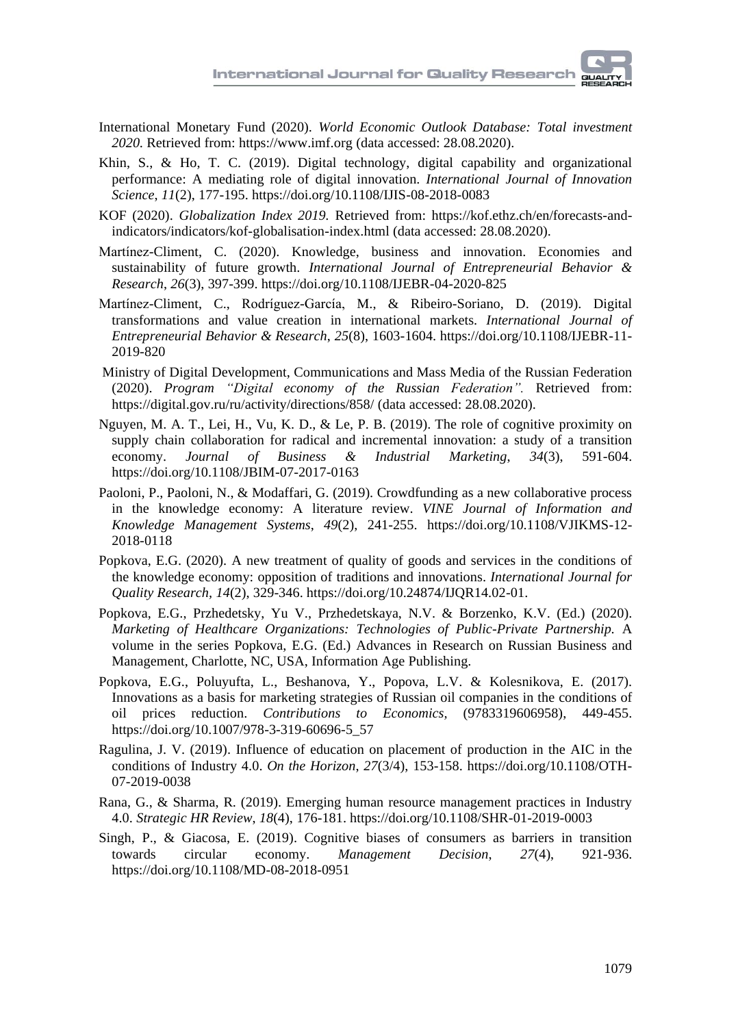- International Monetary Fund (2020). *World Economic Outlook Database: Total investment 2020.* Retrieved from: [https://www.imf.org](https://www.imf.org/) (data accessed: 28.08.2020).
- [Khin,](https://www.emerald.com/insight/search?q=Sabai%20Khin) S., & [Ho,](https://www.emerald.com/insight/search?q=Theresa%20CF%20Ho) T. C. (2019). Digital technology, digital capability and organizational performance: A mediating role of digital innovation. *[International](https://www.emerald.com/insight/publication/issn/1757-2223) Journal of Innovation [Science](https://www.emerald.com/insight/publication/issn/1757-2223)*, *11*(2), 177-195. <https://doi.org/10.1108/IJIS-08-2018-0083>
- KOF (2020). *Globalization Index 2019.* Retrieved from: [https://kof.ethz.ch/en/forecasts-and](https://kof.ethz.ch/en/forecasts-and-indicators/indicators/kof-globalisation-index.html)[indicators/indicators/kof-globalisation-index.html](https://kof.ethz.ch/en/forecasts-and-indicators/indicators/kof-globalisation-index.html) (data accessed: 28.08.2020).
- [Martínez-Climent,](https://www.emerald.com/insight/search?q=Carla%20Mart%C3%ADnez-Climent) C. (2020). Knowledge, business and innovation. Economies and sustainability of future growth. *International Journal of [Entrepreneurial](https://www.emerald.com/insight/publication/issn/1355-2554) Behavior & [Research](https://www.emerald.com/insight/publication/issn/1355-2554)*, *26*(3), 397-399. <https://doi.org/10.1108/IJEBR-04-2020-825>
- [Martínez-Climent,](https://www.emerald.com/insight/search?q=Carla%20Mart%C3%ADnez-Climent) C., [Rodríguez-García,](https://www.emerald.com/insight/search?q=Mar%C3%ADa%20Rodr%C3%ADguez-Garc%C3%ADa) M., & [Ribeiro-Soriano,](https://www.emerald.com/insight/search?q=Domingo%20Ribeiro-Soriano) D. (2019). Digital transformations and value creation in international markets. *[International](https://www.emerald.com/insight/publication/issn/1355-2554) Journal of [Entrepreneurial](https://www.emerald.com/insight/publication/issn/1355-2554) Behavior & Research*, *25*(8), 1603-1604. [https://doi.org/10.1108/IJEBR-11-](https://doi.org/10.1108/IJEBR-11-2019-820) [2019-820](https://doi.org/10.1108/IJEBR-11-2019-820)
- Ministry of Digital Development, [Communications](https://digital.gov.ru/ru/) and Mass Media of the Russian Federation (2020). *Program "Digital economy of the Russian Federation".* Retrieved from: <https://digital.gov.ru/ru/activity/directions/858/> (data accessed: 28.08.2020).
- [Nguyen,](https://www.emerald.com/insight/search?q=Mai%20Anh%20Thi%20Nguyen) M. A. T., [Lei,](https://www.emerald.com/insight/search?q=Hui%20Lei) H., [Vu,](https://www.emerald.com/insight/search?q=Khoa%20Dinh%20Vu) K. D., & [Le,](https://www.emerald.com/insight/search?q=Phong%20Ba%20Le) P. B. (2019). The role of cognitive proximity on supply chain collaboration for radical and incremental innovation: a study of a transition economy. *Journal of Business & Industrial [Marketing](https://www.emerald.com/insight/publication/issn/0885-8624)*, *34*(3), 591-604. <https://doi.org/10.1108/JBIM-07-2017-0163>
- [Paoloni,](https://www.emerald.com/insight/search?q=Paola%20Paoloni) P., [Paoloni,](https://www.emerald.com/insight/search?q=Niccol%C3%B2%20Paoloni) N., & [Modaffari,](https://www.emerald.com/insight/search?q=Giuseppe%20Modaffari) G. (2019). Crowdfunding as a new collaborative process in the knowledge economy: A literature review. *VINE Journal of [Information](https://www.emerald.com/insight/publication/issn/2059-5891) and Knowledge [Management](https://www.emerald.com/insight/publication/issn/2059-5891) Systems*, *49*(2), 241-255. [https://doi.org/10.1108/VJIKMS-12-](https://doi.org/10.1108/VJIKMS-12-2018-0118) [2018-0118](https://doi.org/10.1108/VJIKMS-12-2018-0118)
- Popkova, E.G. (2020). A new treatment of quality of goods and services in the conditions of the knowledge economy: opposition of traditions and innovations. *International Journal for Quality Research, 14*(2), 329-346. [https://doi.org/10.24874/IJQR14.02-01.](https://doi.org/10.24874/IJQR14.02-01)
- Popkova, E.G., Przhedetsky, Yu V., Przhedetskaya, N.V. & Borzenko, K.V. (Ed.) (2020). *Marketing of Healthcare Organizations: Technologies of Public-Private Partnership.* A volume in the series Popkova, E.G. (Ed.) [Advances](https://www.infoagepub.com/series/Advances-in-Research-on-Russian-Business-and-Management) in Research on Russian Business and [Management,](https://www.infoagepub.com/series/Advances-in-Research-on-Russian-Business-and-Management) Charlotte, NC, USA, Information Age Publishing.
- [Popkova,](https://proxylibrary.hse.ru:2073/authid/detail.uri?origin=resultslist&authorId=55671568200&zone=) E.G., [Poluyufta,](https://proxylibrary.hse.ru:2073/authid/detail.uri?origin=resultslist&authorId=56835750500&zone=) L., [Beshanova,](https://proxylibrary.hse.ru:2073/authid/detail.uri?origin=resultslist&authorId=57195717040&zone=) Y., [Popova,](https://proxylibrary.hse.ru:2073/authid/detail.uri?origin=resultslist&authorId=57119051300&zone=) L.V. & [Kolesnikova,](https://proxylibrary.hse.ru:2073/authid/detail.uri?origin=resultslist&authorId=57195716320&zone=) E. (2017). [Innovations](https://proxylibrary.hse.ru:2073/record/display.uri?eid=2-s2.0-85029601023&origin=resultslist&sort=plf-f&src=s&st1=Popkova+E.G.&nlo=&nlr=&nls=&sid=16bba25f3ee0c4a39034bfe69c78f644&sot=b&sdt=b&sl=25&s=AUTHOR-NAME%28Popkova+E.G.%29&relpos=58&citeCnt=1&searchTerm=) as a basis for marketing strategies of Russian oil companies in the conditions of oil prices [reduction.](https://proxylibrary.hse.ru:2073/record/display.uri?eid=2-s2.0-85029601023&origin=resultslist&sort=plf-f&src=s&st1=Popkova+E.G.&nlo=&nlr=&nls=&sid=16bba25f3ee0c4a39034bfe69c78f644&sot=b&sdt=b&sl=25&s=AUTHOR-NAME%28Popkova+E.G.%29&relpos=58&citeCnt=1&searchTerm=) *[Contributions](https://proxylibrary.hse.ru:2073/sourceid/91803?origin=resultslist) to Economics,* (9783319606958), 449-455. https://doi.org[/10.1007/978-3-319-60696-5\\_57](https://doi.org/10.1007/978-3-319-60696-5_57)
- [Ragulina,](https://www.emerald.com/insight/search?q=Julia%20V.%20Ragulina) J. V. (2019). Influence of education on placement of production in the AIC in the conditions of Industry 4.0. *On the [Horizon](https://www.emerald.com/insight/publication/issn/1074-8121)*, *27*(3/4), 153-158. [https://doi.org/10.1108/OTH-](https://doi.org/10.1108/OTH-07-2019-0038)[07-2019-0038](https://doi.org/10.1108/OTH-07-2019-0038)
- [Rana,](https://www.emerald.com/insight/search?q=Geeta%20Rana) G., & [Sharma,](https://www.emerald.com/insight/search?q=Ravindra%20Sharma) R. (2019). Emerging human resource management practices in Industry 4.0. *[Strategic](https://www.emerald.com/insight/publication/issn/1475-4398) HR Review*, *18*(4), 176-181. <https://doi.org/10.1108/SHR-01-2019-0003>
- [Singh,](https://www.emerald.com/insight/search?q=Poonam%20Singh) P., & [Giacosa,](https://www.emerald.com/insight/search?q=Elisa%20Giacosa) E. (2019). Cognitive biases of consumers as barriers in transition towards circular economy. *[Management](https://www.emerald.com/insight/publication/issn/0025-1747) Decision*, *27*(4), 921-936. <https://doi.org/10.1108/MD-08-2018-0951>